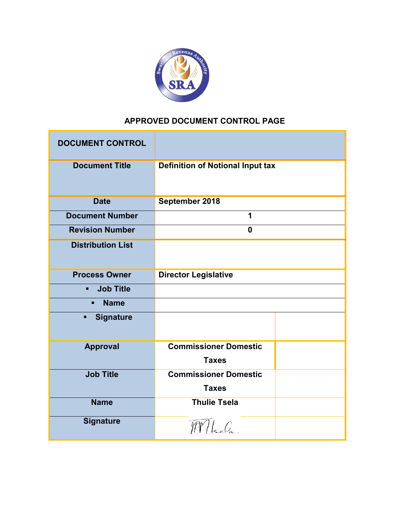

# **APPROVED DOCUMENT CONTROL PAGE**

| <b>DOCUMENT CONTROL</b>            |                                         |  |
|------------------------------------|-----------------------------------------|--|
| <b>Document Title</b>              | <b>Definition of Notional Input tax</b> |  |
| <b>Date</b>                        | September 2018                          |  |
| <b>Document Number</b>             | 1                                       |  |
| <b>Revision Number</b>             | $\bf{0}$                                |  |
| <b>Distribution List</b>           |                                         |  |
| <b>Process Owner</b>               | <b>Director Legislative</b>             |  |
| <b>Job Title</b><br>$\blacksquare$ |                                         |  |
| <b>Name</b><br>п                   |                                         |  |
| <b>Signature</b><br>п              |                                         |  |
| <b>Approval</b>                    | <b>Commissioner Domestic</b>            |  |
|                                    | <b>Taxes</b>                            |  |
| <b>Job Title</b>                   | <b>Commissioner Domestic</b>            |  |
|                                    | <b>Taxes</b>                            |  |
| <b>Name</b>                        | <b>Thulie Tsela</b>                     |  |
| <b>Signature</b>                   | $\widehat{H}$ led                       |  |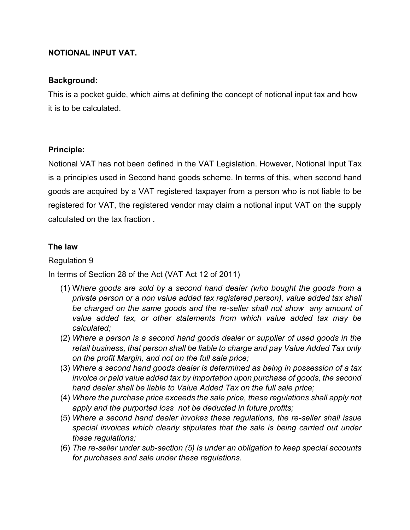## **NOTIONAL INPUT VAT.**

#### **Background:**

This is a pocket guide, which aims at defining the concept of notional input tax and how it is to be calculated.

#### **Principle:**

Notional VAT has not been defined in the VAT Legislation. However, Notional Input Tax is a principles used in Second hand goods scheme. In terms of this, when second hand goods are acquired by a VAT registered taxpayer from a person who is not liable to be registered for VAT, the registered vendor may claim a notional input VAT on the supply calculated on the tax fraction .

#### **The law**

### Regulation 9

In terms of Section 28 of the Act (VAT Act 12 of 2011)

- (1) W*here goods are sold by a second hand dealer (who bought the goods from a private person or a non value added tax registered person), value added tax shall be charged on the same goods and the re-seller shall not show any amount of value added tax, or other statements from which value added tax may be calculated;*
- (2) *Where a person is a second hand goods dealer or supplier of used goods in the retail business, that person shall be liable to charge and pay Value Added Tax only on the profit Margin, and not on the full sale price;*
- (3) *Where a second hand goods dealer is determined as being in possession of a tax invoice or paid value added tax by importation upon purchase of goods, the second hand dealer shall be liable to Value Added Tax on the full sale price;*
- (4) *Where the purchase price exceeds the sale price, these regulations shall apply not apply and the purported loss not be deducted in future profits;*
- (5) *Where a second hand dealer invokes these regulations, the re-seller shall issue special invoices which clearly stipulates that the sale is being carried out under these regulations;*
- (6) *The re-seller under sub-section (5) is under an obligation to keep special accounts for purchases and sale under these regulations.*